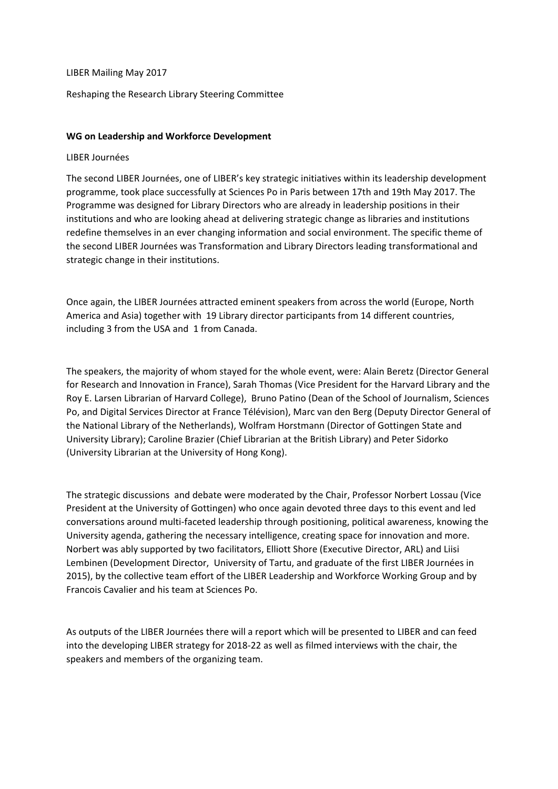## LIBER Mailing May 2017

# Reshaping the Research Library Steering Committee

# **WG on Leadership and Workforce Development**

#### LIBER Journées

The second LIBER Journées, one of LIBER's key strategic initiatives within its leadership development programme, took place successfully at Sciences Po in Paris between 17th and 19th May 2017. The Programme was designed for Library Directors who are already in leadership positions in their institutions and who are looking ahead at delivering strategic change as libraries and institutions redefine themselves in an ever changing information and social environment. The specific theme of the second LIBER Journées was Transformation and Library Directors leading transformational and strategic change in their institutions.

Once again, the LIBER Journées attracted eminent speakers from across the world (Europe, North America and Asia) together with 19 Library director participants from 14 different countries, including 3 from the USA and 1 from Canada.

The speakers, the majority of whom stayed for the whole event, were: Alain Beretz (Director General for Research and Innovation in France), Sarah Thomas (Vice President for the Harvard Library and the Roy E. Larsen Librarian of Harvard College), Bruno Patino (Dean of the School of Journalism, Sciences Po, and Digital Services Director at France Télévision), Marc van den Berg (Deputy Director General of the National Library of the Netherlands), Wolfram Horstmann (Director of Gottingen State and University Library); Caroline Brazier (Chief Librarian at the British Library) and Peter Sidorko (University Librarian at the University of Hong Kong).

The strategic discussions and debate were moderated by the Chair, Professor Norbert Lossau (Vice President at the University of Gottingen) who once again devoted three days to this event and led conversations around multi-faceted leadership through positioning, political awareness, knowing the University agenda, gathering the necessary intelligence, creating space for innovation and more. Norbert was ably supported by two facilitators, Elliott Shore (Executive Director, ARL) and Liisi Lembinen (Development Director, University of Tartu, and graduate of the first LIBER Journées in 2015), by the collective team effort of the LIBER Leadership and Workforce Working Group and by Francois Cavalier and his team at Sciences Po.

As outputs of the LIBER Journées there will a report which will be presented to LIBER and can feed into the developing LIBER strategy for 2018-22 as well as filmed interviews with the chair, the speakers and members of the organizing team.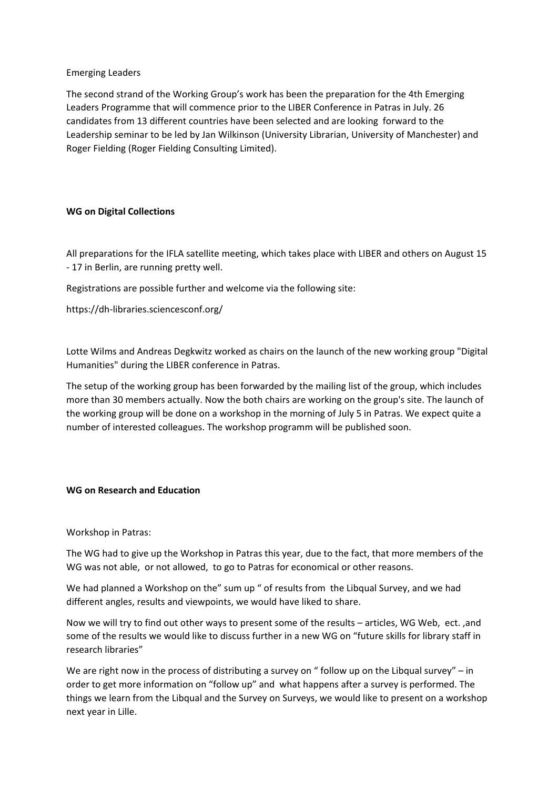# Emerging Leaders

The second strand of the Working Group's work has been the preparation for the 4th Emerging Leaders Programme that will commence prior to the LIBER Conference in Patras in July. 26 candidates from 13 different countries have been selected and are looking forward to the Leadership seminar to be led by Jan Wilkinson (University Librarian, University of Manchester) and Roger Fielding (Roger Fielding Consulting Limited).

# **WG on Digital Collections**

All preparations for the IFLA satellite meeting, which takes place with LIBER and others on August 15 - 17 in Berlin, are running pretty well.

Registrations are possible further and welcome via the following site:

https://dh-libraries.sciencesconf.org/

Lotte Wilms and Andreas Degkwitz worked as chairs on the launch of the new working group "Digital Humanities" during the LIBER conference in Patras.

The setup of the working group has been forwarded by the mailing list of the group, which includes more than 30 members actually. Now the both chairs are working on the group's site. The launch of the working group will be done on a workshop in the morning of July 5 in Patras. We expect quite a number of interested colleagues. The workshop programm will be published soon.

# **WG on Research and Education**

#### Workshop in Patras:

The WG had to give up the Workshop in Patras this year, due to the fact, that more members of the WG was not able, or not allowed, to go to Patras for economical or other reasons.

We had planned a Workshop on the" sum up " of results from the Libqual Survey, and we had different angles, results and viewpoints, we would have liked to share.

Now we will try to find out other ways to present some of the results – articles, WG Web, ect. ,and some of the results we would like to discuss further in a new WG on "future skills for library staff in research libraries"

We are right now in the process of distributing a survey on " follow up on the Libqual survey" – in order to get more information on "follow up" and what happens after a survey is performed. The things we learn from the Libqual and the Survey on Surveys, we would like to present on a workshop next year in Lille.